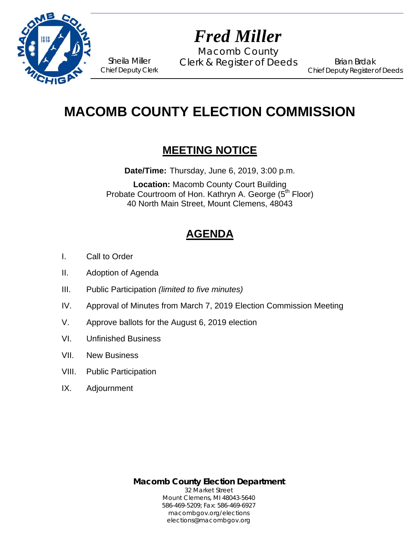

# *Fred Miller*

Macomb County Sheila Miller Clerk & Register of Deeds

Brian Brdak Chief Deputy Register of Deeds

# **MACOMB COUNTY ELECTION COMMISSION**

## **MEETING NOTICE**

**Date/Time:** Thursday, June 6, 2019, 3:00 p.m.

**Location:** Macomb County Court Building Probate Courtroom of Hon. Kathryn A. George (5<sup>th</sup> Floor) 40 North Main Street, Mount Clemens, 48043

# **AGENDA**

- I. Call to Order
- II. Adoption of Agenda

Chief Deputy Clerk

- III. Public Participation *(limited to five minutes)*
- IV. Approval of Minutes from March 7, 2019 Election Commission Meeting
- V. Approve ballots for the August 6, 2019 election
- VI. Unfinished Business
- VII. New Business
- VIII. Public Participation
- IX. Adjournment

**Macomb County Election Department** 32 Market Street Mount Clemens, MI 48043-5640 586-469-5209; Fax: 586-469-6927 macombgov.org/elections elections@macombgov.org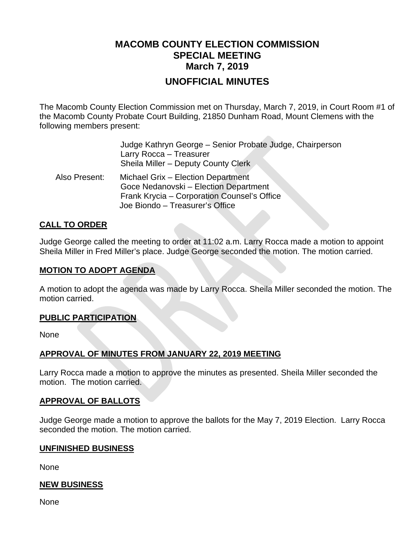## **MACOMB COUNTY ELECTION COMMISSION SPECIAL MEETING March 7, 2019**

### **UNOFFICIAL MINUTES**

The Macomb County Election Commission met on Thursday, March 7, 2019, in Court Room #1 of the Macomb County Probate Court Building, 21850 Dunham Road, Mount Clemens with the following members present:

 $\Delta \Omega_{\rm{th}}$ 

|               | Judge Kathryn George - Senior Probate Judge, Chairperson<br>Larry Rocca - Treasurer<br>Sheila Miller - Deputy County Clerk                                    |
|---------------|---------------------------------------------------------------------------------------------------------------------------------------------------------------|
| Also Present: | Michael Grix - Election Department<br>Goce Nedanovski - Election Department<br>Frank Krycia - Corporation Counsel's Office<br>Joe Biondo - Treasurer's Office |

#### **CALL TO ORDER**

Judge George called the meeting to order at 11:02 a.m. Larry Rocca made a motion to appoint Sheila Miller in Fred Miller's place. Judge George seconded the motion. The motion carried.

#### **MOTION TO ADOPT AGENDA**

A motion to adopt the agenda was made by Larry Rocca. Sheila Miller seconded the motion. The motion carried.

#### **PUBLIC PARTICIPATION**

None

#### **APPROVAL OF MINUTES FROM JANUARY 22, 2019 MEETING**

Larry Rocca made a motion to approve the minutes as presented. Sheila Miller seconded the motion. The motion carried.

#### **APPROVAL OF BALLOTS**

Judge George made a motion to approve the ballots for the May 7, 2019 Election. Larry Rocca seconded the motion. The motion carried.

#### **UNFINISHED BUSINESS**

None

#### **NEW BUSINESS**

None